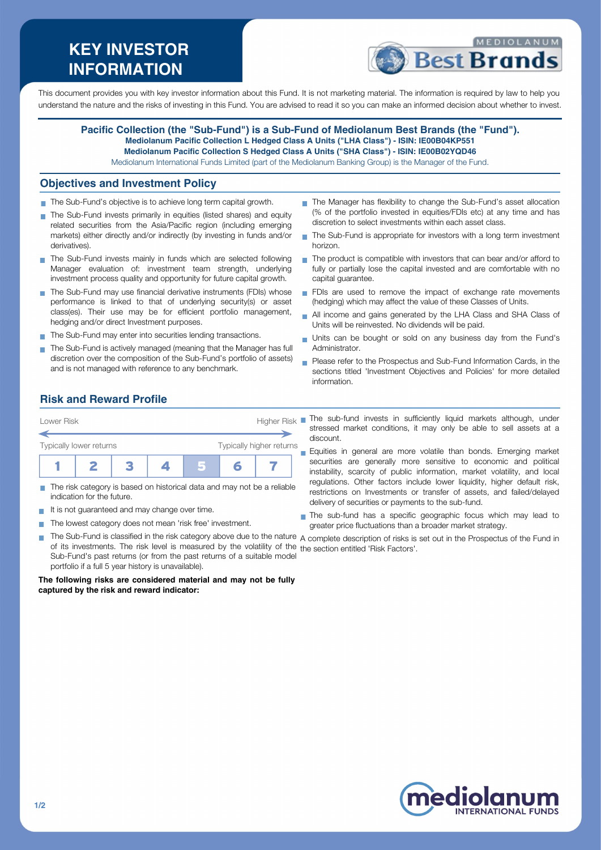# **KEY INVESTOR INFORMATION**



This document provides you with key investor information about this Fund. It is not marketing material. The information is required by law to help you understand the nature and the risks of investing in this Fund. You are advised to read it so you can make an informed decision about whether to invest.

#### **Pacific Collection (the "Sub-Fund") is a Sub-Fund of Mediolanum Best Brands (the "Fund"). Mediolanum Pacific Collection L Hedged Class A Units ("LHA Class") - ISIN: IE00B04KP551 Mediolanum Pacific Collection S Hedged Class A Units ("SHA Class") - ISIN: IE00B02YQD46**

Mediolanum International Funds Limited (part of the Mediolanum Banking Group) is the Manager of the Fund.

### **Objectives and Investment Policy**

- The Sub-Fund's objective is to achieve long term capital growth.
- The Sub-Fund invests primarily in equities (listed shares) and equity related securities from the Asia/Pacific region (including emerging markets) either directly and/or indirectly (by investing in funds and/or derivatives).
- The Sub-Fund invests mainly in funds which are selected following Manager evaluation of: investment team strength, underlying investment process quality and opportunity for future capital growth.
- The Sub-Fund may use financial derivative instruments (FDIs) whose performance is linked to that of underlying security(s) or asset class(es). Their use may be for efficient portfolio management, hedging and/or direct Investment purposes.
- The Sub-Fund may enter into securities lending transactions.
- The Sub-Fund is actively managed (meaning that the Manager has full discretion over the composition of the Sub-Fund's portfolio of assets) and is not managed with reference to any benchmark.
- The Manager has flexibility to change the Sub-Fund's asset allocation (% of the portfolio invested in equities/FDIs etc) at any time and has discretion to select investments within each asset class.
- The Sub-Fund is appropriate for investors with a long term investment horizon.
- The product is compatible with investors that can bear and/or afford to fully or partially lose the capital invested and are comfortable with no capital guarantee.
- FDIs are used to remove the impact of exchange rate movements (hedging) which may affect the value of these Classes of Units.
- All income and gains generated by the LHA Class and SHA Class of  $\overline{\phantom{a}}$ Units will be reinvested. No dividends will be paid.
- Units can be bought or sold on any business day from the Fund's Administrator.
- **Please refer to the Prospectus and Sub-Fund Information Cards, in the** sections titled 'Investment Objectives and Policies' for more detailed information.

# **Risk and Reward Profile**



- The risk category is based on historical data and may not be a reliable m. indication for the future.
- It is not guaranteed and may change over time.  $\sim$
- The lowest category does not mean 'risk free' investment.
- $\mathcal{L}_{\mathcal{A}}$ The Sub-Fund is classified in the risk category above due to the nature  $\,$  complete description of risks is set out in the Prospectus of the Fund in of its investments. The risk level is measured by the volatility of the the section entitled 'Risk Factors'.Sub-Fund's past returns (or from the past returns of a suitable model portfolio if a full 5 year history is unavailable).

**The following risks are considered material and may not be fully captured by the risk and reward indicator:**

- stressed market conditions, it may only be able to sell assets at a discount.
- Equities in general are more volatile than bonds. Emerging market securities are generally more sensitive to economic and political instability, scarcity of public information, market volatility, and local regulations. Other factors include lower liquidity, higher default risk, restrictions on Investments or transfer of assets, and failed/delayed delivery of securities or payments to the sub-fund.
- The sub-fund has a specific geographic focus which may lead to greater price fluctuations than a broader market strategy.



**NTERNATIONAL FUNDS**